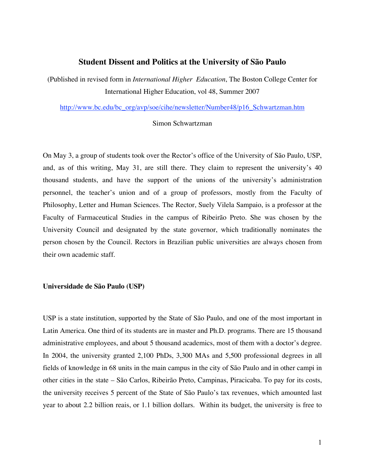# **Student Dissent and Politics at the University of São Paulo**

(Published in revised form in *International Higher Education*, The Boston College Center for International Higher Education, vol 48, Summer 2007

http://www.bc.edu/bc\_org/avp/soe/cihe/newsletter/Number48/p16\_Schwartzman.htm

## Simon Schwartzman

On May 3, a group of students took over the Rector's office of the University of São Paulo, USP, and, as of this writing, May 31, are still there. They claim to represent the university's 40 thousand students, and have the support of the unions of the university's administration personnel, the teacher's union and of a group of professors, mostly from the Faculty of Philosophy, Letter and Human Sciences. The Rector, Suely Vilela Sampaio, is a professor at the Faculty of Farmaceutical Studies in the campus of Ribeirão Preto. She was chosen by the University Council and designated by the state governor, which traditionally nominates the person chosen by the Council. Rectors in Brazilian public universities are always chosen from their own academic staff.

## **Universidade de São Paulo (USP)**

USP is a state institution, supported by the State of São Paulo, and one of the most important in Latin America. One third of its students are in master and Ph.D. programs. There are 15 thousand administrative employees, and about 5 thousand academics, most of them with a doctor's degree. In 2004, the university granted 2,100 PhDs, 3,300 MAs and 5,500 professional degrees in all fields of knowledge in 68 units in the main campus in the city of São Paulo and in other campi in other cities in the state – São Carlos, Ribeirão Preto, Campinas, Piracicaba. To pay for its costs, the university receives 5 percent of the State of São Paulo's tax revenues, which amounted last year to about 2.2 billion reais, or 1.1 billion dollars. Within its budget, the university is free to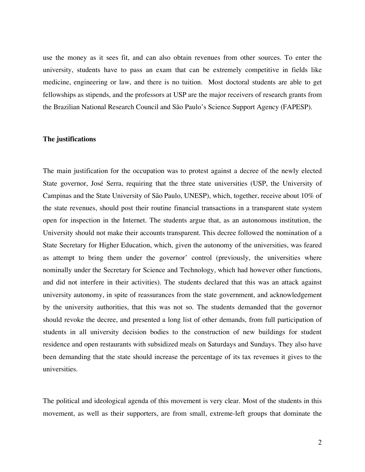use the money as it sees fit, and can also obtain revenues from other sources. To enter the university, students have to pass an exam that can be extremely competitive in fields like medicine, engineering or law, and there is no tuition. Most doctoral students are able to get fellowships as stipends, and the professors at USP are the major receivers of research grants from the Brazilian National Research Council and São Paulo's Science Support Agency (FAPESP).

## **The justifications**

The main justification for the occupation was to protest against a decree of the newly elected State governor, José Serra, requiring that the three state universities (USP, the University of Campinas and the State University of São Paulo, UNESP), which, together, receive about 10% of the state revenues, should post their routine financial transactions in a transparent state system open for inspection in the Internet. The students argue that, as an autonomous institution, the University should not make their accounts transparent. This decree followed the nomination of a State Secretary for Higher Education, which, given the autonomy of the universities, was feared as attempt to bring them under the governor' control (previously, the universities where nominally under the Secretary for Science and Technology, which had however other functions, and did not interfere in their activities). The students declared that this was an attack against university autonomy, in spite of reassurances from the state government, and acknowledgement by the university authorities, that this was not so. The students demanded that the governor should revoke the decree, and presented a long list of other demands, from full participation of students in all university decision bodies to the construction of new buildings for student residence and open restaurants with subsidized meals on Saturdays and Sundays. They also have been demanding that the state should increase the percentage of its tax revenues it gives to the universities.

The political and ideological agenda of this movement is very clear. Most of the students in this movement, as well as their supporters, are from small, extreme-left groups that dominate the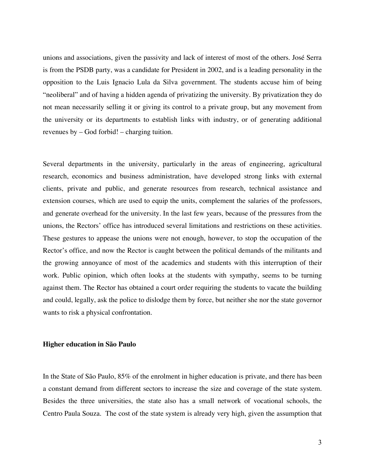unions and associations, given the passivity and lack of interest of most of the others. José Serra is from the PSDB party, was a candidate for President in 2002, and is a leading personality in the opposition to the Luis Ignacio Lula da Silva government. The students accuse him of being "neoliberal" and of having a hidden agenda of privatizing the university. By privatization they do not mean necessarily selling it or giving its control to a private group, but any movement from the university or its departments to establish links with industry, or of generating additional revenues by – God forbid! – charging tuition.

Several departments in the university, particularly in the areas of engineering, agricultural research, economics and business administration, have developed strong links with external clients, private and public, and generate resources from research, technical assistance and extension courses, which are used to equip the units, complement the salaries of the professors, and generate overhead for the university. In the last few years, because of the pressures from the unions, the Rectors' office has introduced several limitations and restrictions on these activities. These gestures to appease the unions were not enough, however, to stop the occupation of the Rector's office, and now the Rector is caught between the political demands of the militants and the growing annoyance of most of the academics and students with this interruption of their work. Public opinion, which often looks at the students with sympathy, seems to be turning against them. The Rector has obtained a court order requiring the students to vacate the building and could, legally, ask the police to dislodge them by force, but neither she nor the state governor wants to risk a physical confrontation.

#### **Higher education in São Paulo**

In the State of São Paulo, 85% of the enrolment in higher education is private, and there has been a constant demand from different sectors to increase the size and coverage of the state system. Besides the three universities, the state also has a small network of vocational schools, the Centro Paula Souza. The cost of the state system is already very high, given the assumption that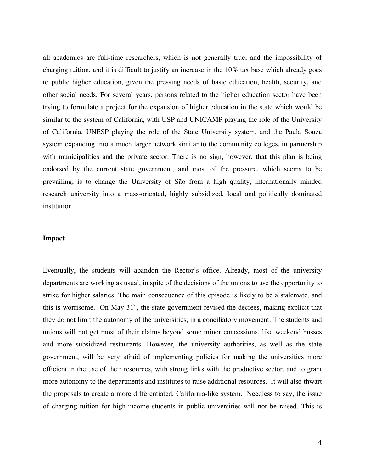all academics are full-time researchers, which is not generally true, and the impossibility of charging tuition, and it is difficult to justify an increase in the 10% tax base which already goes to public higher education, given the pressing needs of basic education, health, security, and other social needs. For several years, persons related to the higher education sector have been trying to formulate a project for the expansion of higher education in the state which would be similar to the system of California, with USP and UNICAMP playing the role of the University of California, UNESP playing the role of the State University system, and the Paula Souza system expanding into a much larger network similar to the community colleges, in partnership with municipalities and the private sector. There is no sign, however, that this plan is being endorsed by the current state government, and most of the pressure, which seems to be prevailing, is to change the University of São from a high quality, internationally minded research university into a mass-oriented, highly subsidized, local and politically dominated institution.

# **Impact**

Eventually, the students will abandon the Rector's office. Already, most of the university departments are working as usual, in spite of the decisions of the unions to use the opportunity to strike for higher salaries. The main consequence of this episode is likely to be a stalemate, and this is worrisome. On May  $31<sup>st</sup>$ , the state government revised the decrees, making explicit that they do not limit the autonomy of the universities, in a conciliatory movement. The students and unions will not get most of their claims beyond some minor concessions, like weekend busses and more subsidized restaurants. However, the university authorities, as well as the state government, will be very afraid of implementing policies for making the universities more efficient in the use of their resources, with strong links with the productive sector, and to grant more autonomy to the departments and institutes to raise additional resources. It will also thwart the proposals to create a more differentiated, California-like system. Needless to say, the issue of charging tuition for high-income students in public universities will not be raised. This is